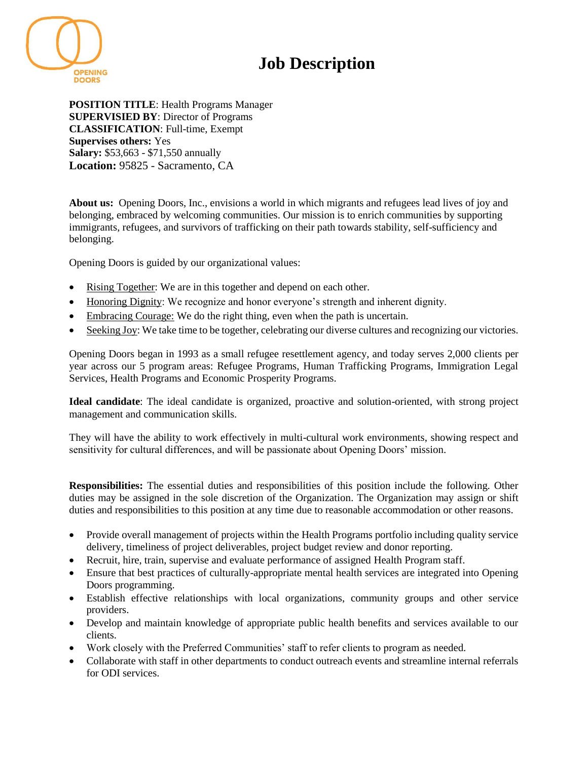## **Job Description**



**POSITION TITLE**: Health Programs Manager **SUPERVISIED BY**: Director of Programs **CLASSIFICATION**: Full-time, Exempt **Supervises others:** Yes **Salary:** \$53,663 - \$71,550 annually **Location:** 95825 - Sacramento, CA

**About us:** Opening Doors, Inc., envisions a world in which migrants and refugees lead lives of joy and belonging, embraced by welcoming communities. Our mission is to enrich communities by supporting immigrants, refugees, and survivors of trafficking on their path towards stability, self-sufficiency and belonging.

Opening Doors is guided by our organizational values:

- Rising Together: We are in this together and depend on each other.
- Honoring Dignity: We recognize and honor everyone's strength and inherent dignity.
- Embracing Courage: We do the right thing, even when the path is uncertain.
- Seeking Joy: We take time to be together, celebrating our diverse cultures and recognizing our victories.

Opening Doors began in 1993 as a small refugee resettlement agency, and today serves 2,000 clients per year across our 5 program areas: Refugee Programs, Human Trafficking Programs, Immigration Legal Services, Health Programs and Economic Prosperity Programs.

**Ideal candidate**: The ideal candidate is organized, proactive and solution-oriented, with strong project management and communication skills.

They will have the ability to work effectively in multi-cultural work environments, showing respect and sensitivity for cultural differences, and will be passionate about Opening Doors' mission.

**Responsibilities:** The essential duties and responsibilities of this position include the following. Other duties may be assigned in the sole discretion of the Organization. The Organization may assign or shift duties and responsibilities to this position at any time due to reasonable accommodation or other reasons.

- Provide overall management of projects within the Health Programs portfolio including quality service delivery, timeliness of project deliverables, project budget review and donor reporting.
- Recruit, hire, train, supervise and evaluate performance of assigned Health Program staff.
- Ensure that best practices of culturally-appropriate mental health services are integrated into Opening Doors programming.
- Establish effective relationships with local organizations, community groups and other service providers.
- Develop and maintain knowledge of appropriate public health benefits and services available to our clients.
- Work closely with the Preferred Communities' staff to refer clients to program as needed.
- Collaborate with staff in other departments to conduct outreach events and streamline internal referrals for ODI services.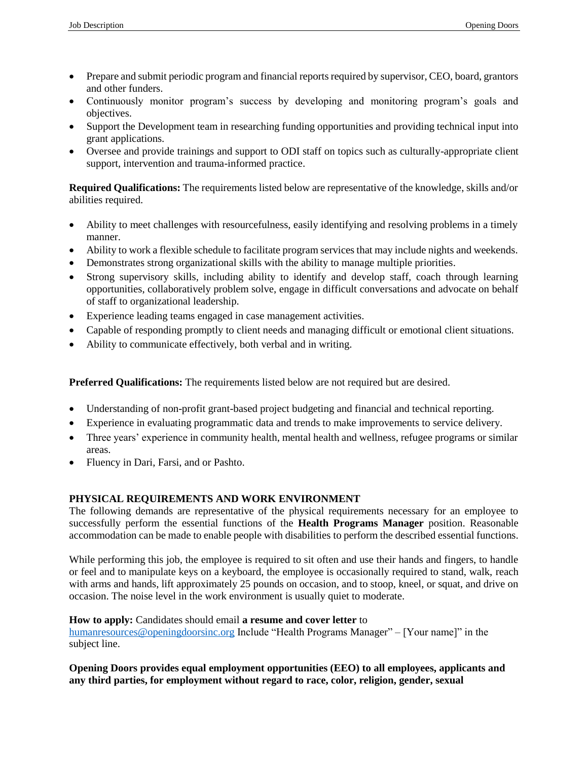- Prepare and submit periodic program and financial reports required by supervisor, CEO, board, grantors and other funders.
- Continuously monitor program's success by developing and monitoring program's goals and objectives.
- Support the Development team in researching funding opportunities and providing technical input into grant applications.
- Oversee and provide trainings and support to ODI staff on topics such as culturally-appropriate client support, intervention and trauma-informed practice.

**Required Qualifications:** The requirements listed below are representative of the knowledge, skills and/or abilities required.

- Ability to meet challenges with resourcefulness, easily identifying and resolving problems in a timely manner.
- Ability to work a flexible schedule to facilitate program services that may include nights and weekends.
- Demonstrates strong organizational skills with the ability to manage multiple priorities.
- Strong supervisory skills, including ability to identify and develop staff, coach through learning opportunities, collaboratively problem solve, engage in difficult conversations and advocate on behalf of staff to organizational leadership.
- Experience leading teams engaged in case management activities.
- Capable of responding promptly to client needs and managing difficult or emotional client situations.
- Ability to communicate effectively, both verbal and in writing.

**Preferred Qualifications:** The requirements listed below are not required but are desired.

- Understanding of non-profit grant-based project budgeting and financial and technical reporting.
- Experience in evaluating programmatic data and trends to make improvements to service delivery.
- Three years' experience in community health, mental health and wellness, refugee programs or similar areas.
- Fluency in Dari, Farsi, and or Pashto.

## **PHYSICAL REQUIREMENTS AND WORK ENVIRONMENT**

The following demands are representative of the physical requirements necessary for an employee to successfully perform the essential functions of the **Health Programs Manager** position. Reasonable accommodation can be made to enable people with disabilities to perform the described essential functions.

While performing this job, the employee is required to sit often and use their hands and fingers, to handle or feel and to manipulate keys on a keyboard, the employee is occasionally required to stand, walk, reach with arms and hands, lift approximately 25 pounds on occasion, and to stoop, kneel, or squat, and drive on occasion. The noise level in the work environment is usually quiet to moderate.

## **How to apply:** Candidates should email **a resume and cover letter** to

[humanresources@openingdoorsinc.org](mailto:humanresources@openingdoorsinc.org) Include "Health Programs Manager" – [Your name]" in the subject line.

**Opening Doors provides equal employment opportunities (EEO) to all employees, applicants and any third parties, for employment without regard to race, color, religion, gender, sexual**